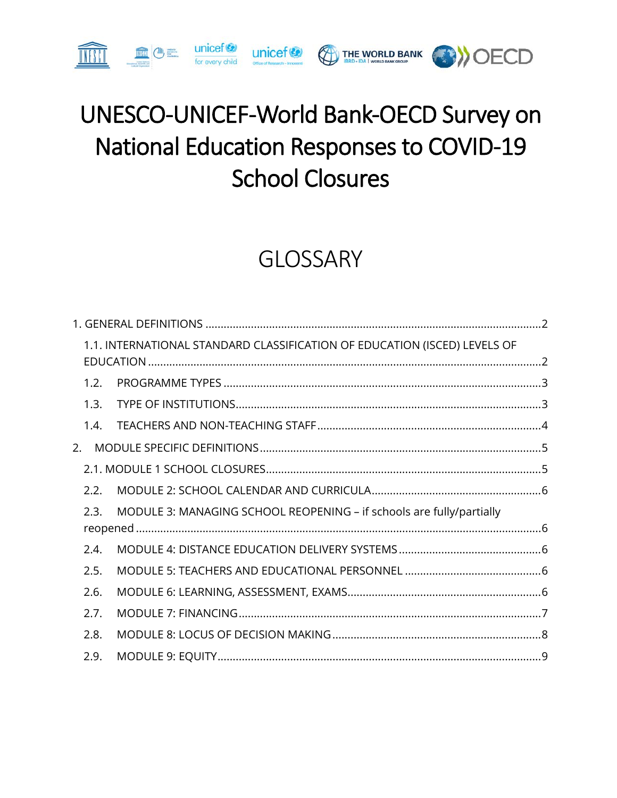# UNESCO-UNICEF-World Bank-OECD Survey on **National Education Responses to COVID-19 School Closures**

UNICOF OF THE WORLD BANK AND CECD

**unicef**<sup>(2)</sup> for every child

m (+

# **GLOSSARY**

|      | 1.1. INTERNATIONAL STANDARD CLASSIFICATION OF EDUCATION (ISCED) LEVELS OF |  |
|------|---------------------------------------------------------------------------|--|
| 1.2. |                                                                           |  |
| 1.3. |                                                                           |  |
| 1.4. |                                                                           |  |
| 2.   |                                                                           |  |
|      |                                                                           |  |
| 2.2. |                                                                           |  |
| 2.3. | MODULE 3: MANAGING SCHOOL REOPENING - if schools are fully/partially      |  |
| 2.4. |                                                                           |  |
| 2.5. |                                                                           |  |
| 2.6. |                                                                           |  |
| 2.7. |                                                                           |  |
| 2.8. |                                                                           |  |
| 2.9. |                                                                           |  |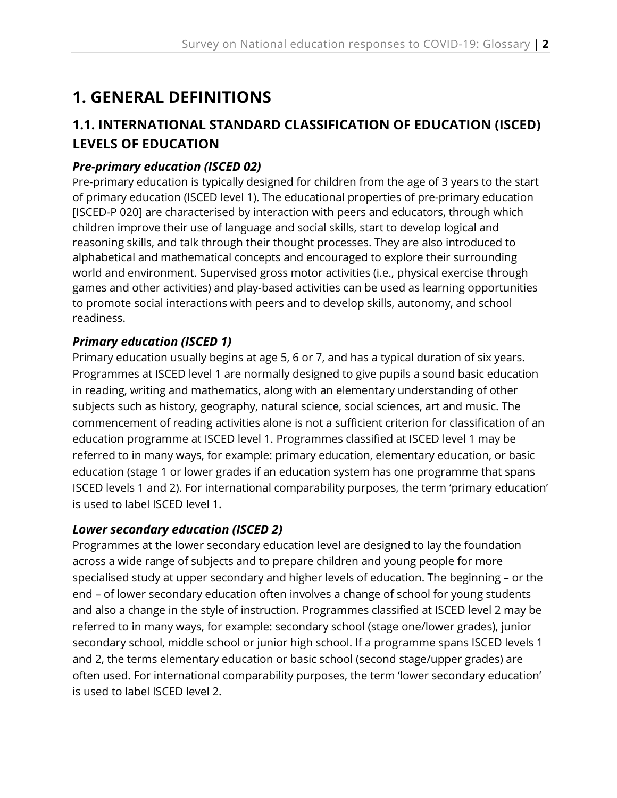## <span id="page-1-0"></span>**1. GENERAL DEFINITIONS**

## <span id="page-1-1"></span>**1.1. INTERNATIONAL STANDARD CLASSIFICATION OF EDUCATION (ISCED) LEVELS OF EDUCATION**

## *Pre-primary education (ISCED 02)*

Pre-primary education is typically designed for children from the age of 3 years to the start of primary education (ISCED level 1). The educational properties of pre-primary education [ISCED-P 020] are characterised by interaction with peers and educators, through which children improve their use of language and social skills, start to develop logical and reasoning skills, and talk through their thought processes. They are also introduced to alphabetical and mathematical concepts and encouraged to explore their surrounding world and environment. Supervised gross motor activities (i.e., physical exercise through games and other activities) and play-based activities can be used as learning opportunities to promote social interactions with peers and to develop skills, autonomy, and school readiness.

## *Primary education (ISCED 1)*

Primary education usually begins at age 5, 6 or 7, and has a typical duration of six years. Programmes at ISCED level 1 are normally designed to give pupils a sound basic education in reading, writing and mathematics, along with an elementary understanding of other subjects such as history, geography, natural science, social sciences, art and music. The commencement of reading activities alone is not a sufficient criterion for classification of an education programme at ISCED level 1. Programmes classified at ISCED level 1 may be referred to in many ways, for example: primary education, elementary education, or basic education (stage 1 or lower grades if an education system has one programme that spans ISCED levels 1 and 2). For international comparability purposes, the term 'primary education' is used to label ISCED level 1.

#### *Lower secondary education (ISCED 2)*

Programmes at the lower secondary education level are designed to lay the foundation across a wide range of subjects and to prepare children and young people for more specialised study at upper secondary and higher levels of education. The beginning – or the end – of lower secondary education often involves a change of school for young students and also a change in the style of instruction. Programmes classified at ISCED level 2 may be referred to in many ways, for example: secondary school (stage one/lower grades), junior secondary school, middle school or junior high school. If a programme spans ISCED levels 1 and 2, the terms elementary education or basic school (second stage/upper grades) are often used. For international comparability purposes, the term 'lower secondary education' is used to label ISCED level 2.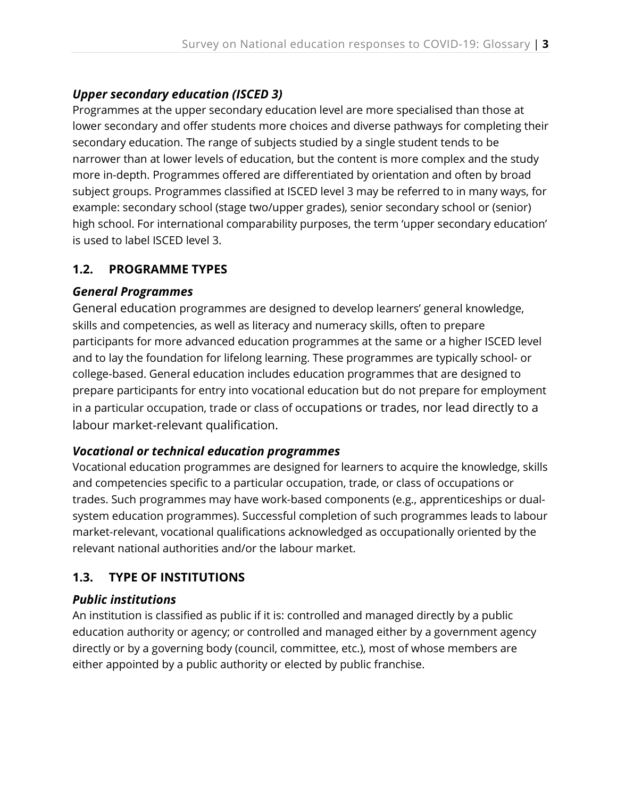## *Upper secondary education (ISCED 3)*

Programmes at the upper secondary education level are more specialised than those at lower secondary and offer students more choices and diverse pathways for completing their secondary education. The range of subjects studied by a single student tends to be narrower than at lower levels of education, but the content is more complex and the study more in-depth. Programmes offered are differentiated by orientation and often by broad subject groups. Programmes classified at ISCED level 3 may be referred to in many ways, for example: secondary school (stage two/upper grades), senior secondary school or (senior) high school. For international comparability purposes, the term 'upper secondary education' is used to label ISCED level 3.

### <span id="page-2-0"></span>**1.2. PROGRAMME TYPES**

#### *General Programmes*

General education programmes are designed to develop learners' general knowledge, skills and competencies, as well as literacy and numeracy skills, often to prepare participants for more advanced education programmes at the same or a higher ISCED level and to lay the foundation for lifelong learning. These programmes are typically school- or college-based. General education includes education programmes that are designed to prepare participants for entry into vocational education but do not prepare for employment in a particular occupation, trade or class of occupations or trades, nor lead directly to a labour market-relevant qualification.

#### *Vocational or technical education programmes*

Vocational education programmes are designed for learners to acquire the knowledge, skills and competencies specific to a particular occupation, trade, or class of occupations or trades. Such programmes may have work-based components (e.g., apprenticeships or dualsystem education programmes). Successful completion of such programmes leads to labour market-relevant, vocational qualifications acknowledged as occupationally oriented by the relevant national authorities and/or the labour market.

## <span id="page-2-1"></span>**1.3. TYPE OF INSTITUTIONS**

## *Public institutions*

An institution is classified as public if it is: controlled and managed directly by a public education authority or agency; or controlled and managed either by a government agency directly or by a governing body (council, committee, etc.), most of whose members are either appointed by a public authority or elected by public franchise.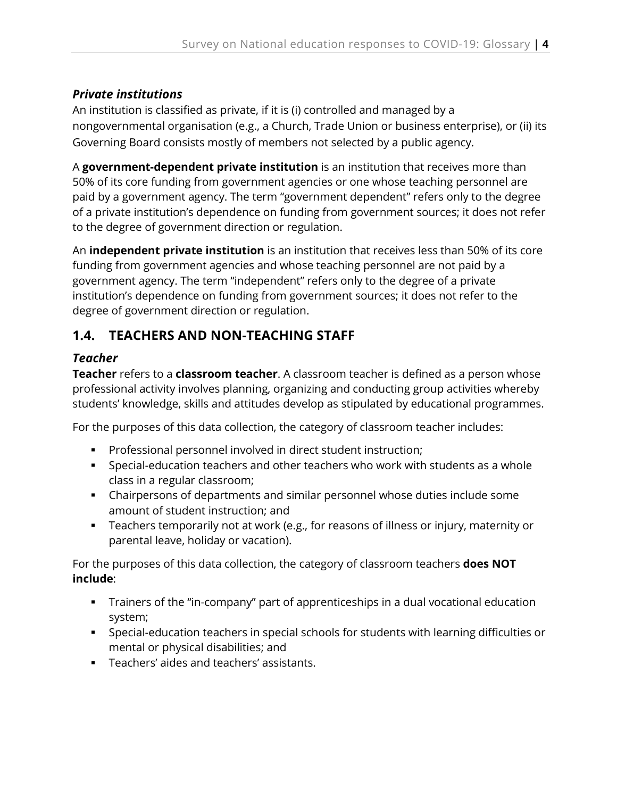### *Private institutions*

An institution is classified as private, if it is (i) controlled and managed by a nongovernmental organisation (e.g., a Church, Trade Union or business enterprise), or (ii) its Governing Board consists mostly of members not selected by a public agency.

A **government-dependent private institution** is an institution that receives more than 50% of its core funding from government agencies or one whose teaching personnel are paid by a government agency. The term "government dependent" refers only to the degree of a private institution's dependence on funding from government sources; it does not refer to the degree of government direction or regulation.

An **independent private institution** is an institution that receives less than 50% of its core funding from government agencies and whose teaching personnel are not paid by a government agency. The term "independent" refers only to the degree of a private institution's dependence on funding from government sources; it does not refer to the degree of government direction or regulation.

## <span id="page-3-0"></span>**1.4. TEACHERS AND NON-TEACHING STAFF**

### *Teacher*

**Teacher** refers to a **classroom teacher**. A classroom teacher is defined as a person whose professional activity involves planning, organizing and conducting group activities whereby students' knowledge, skills and attitudes develop as stipulated by educational programmes.

For the purposes of this data collection, the category of classroom teacher includes:

- **Professional personnel involved in direct student instruction;**
- Special-education teachers and other teachers who work with students as a whole class in a regular classroom;
- Chairpersons of departments and similar personnel whose duties include some amount of student instruction; and
- Teachers temporarily not at work (e.g., for reasons of illness or injury, maternity or parental leave, holiday or vacation).

For the purposes of this data collection, the category of classroom teachers **does NOT include**:

- Trainers of the "in-company" part of apprenticeships in a dual vocational education system;
- Special-education teachers in special schools for students with learning difficulties or mental or physical disabilities; and
- Teachers' aides and teachers' assistants.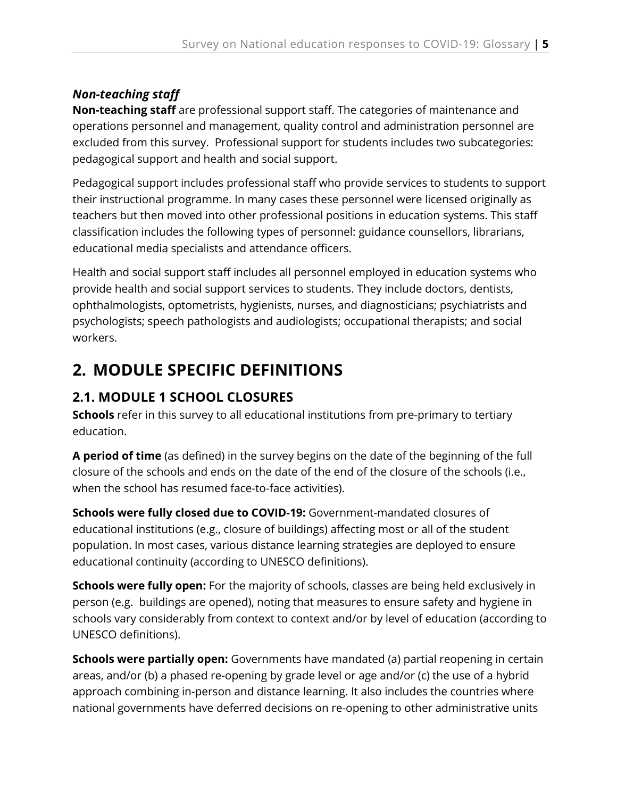## *Non-teaching staff*

**Non-teaching staff** are professional support staff. The categories of maintenance and operations personnel and management, quality control and administration personnel are excluded from this survey. Professional support for students includes two subcategories: pedagogical support and health and social support.

Pedagogical support includes professional staff who provide services to students to support their instructional programme. In many cases these personnel were licensed originally as teachers but then moved into other professional positions in education systems. This staff classification includes the following types of personnel: guidance counsellors, librarians, educational media specialists and attendance officers.

Health and social support staff includes all personnel employed in education systems who provide health and social support services to students. They include doctors, dentists, ophthalmologists, optometrists, hygienists, nurses, and diagnosticians; psychiatrists and psychologists; speech pathologists and audiologists; occupational therapists; and social workers.

## <span id="page-4-0"></span>**2. MODULE SPECIFIC DEFINITIONS**

## <span id="page-4-1"></span>**2.1. MODULE 1 SCHOOL CLOSURES**

**Schools** refer in this survey to all educational institutions from pre-primary to tertiary education.

**A period of time** (as defined) in the survey begins on the date of the beginning of the full closure of the schools and ends on the date of the end of the closure of the schools (i.e., when the school has resumed face-to-face activities).

**Schools were fully closed due to COVID-19:** Government-mandated closures of educational institutions (e.g., closure of buildings) affecting most or all of the student population. In most cases, various distance learning strategies are deployed to ensure educational continuity (according to UNESCO definitions).

**Schools were fully open:** For the majority of schools, classes are being held exclusively in person (e.g. buildings are opened), noting that measures to ensure safety and hygiene in schools vary considerably from context to context and/or by level of education (according to UNESCO definitions).

**Schools were partially open:** Governments have mandated (a) partial reopening in certain areas, and/or (b) a phased re-opening by grade level or age and/or (c) the use of a hybrid approach combining in-person and distance learning. It also includes the countries where national governments have deferred decisions on re-opening to other administrative units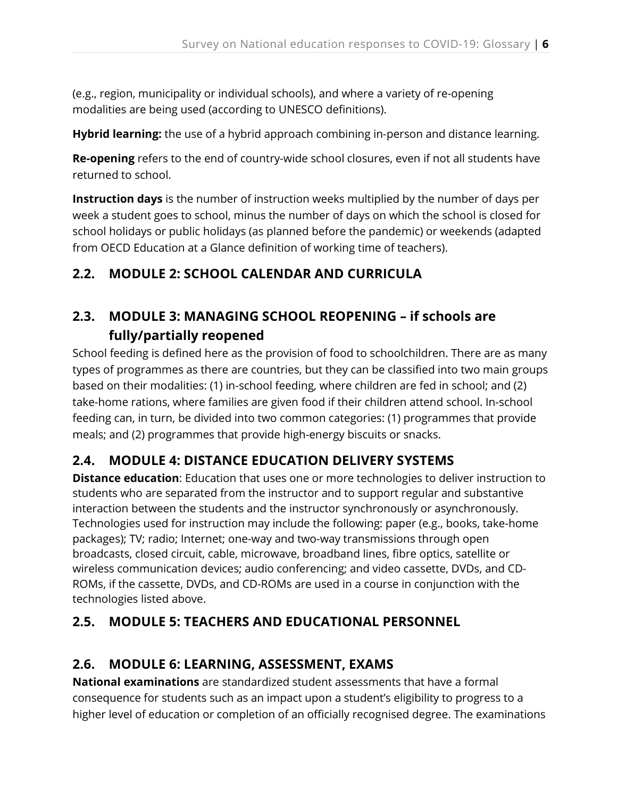(e.g., region, municipality or individual schools), and where a variety of re-opening modalities are being used (according to UNESCO definitions).

**Hybrid learning:** the use of a hybrid approach combining in-person and distance learning.

**Re-opening** refers to the end of country-wide school closures, even if not all students have returned to school.

**Instruction days** is the number of instruction weeks multiplied by the number of days per week a student goes to school, minus the number of days on which the school is closed for school holidays or public holidays (as planned before the pandemic) or weekends (adapted from OECD Education at a Glance definition of working time of teachers).

## <span id="page-5-0"></span>**2.2. MODULE 2: SCHOOL CALENDAR AND CURRICULA**

## <span id="page-5-1"></span>**2.3. MODULE 3: MANAGING SCHOOL REOPENING – if schools are fully/partially reopened**

School feeding is defined here as the provision of food to schoolchildren. There are as many types of programmes as there are countries, but they can be classified into two main groups based on their modalities: (1) in-school feeding, where children are fed in school; and (2) take-home rations, where families are given food if their children attend school. In-school feeding can, in turn, be divided into two common categories: (1) programmes that provide meals; and (2) programmes that provide high-energy biscuits or snacks.

## <span id="page-5-2"></span>**2.4. MODULE 4: DISTANCE EDUCATION DELIVERY SYSTEMS**

**Distance education**: Education that uses one or more technologies to deliver instruction to students who are separated from the instructor and to support regular and substantive interaction between the students and the instructor synchronously or asynchronously. Technologies used for instruction may include the following: paper (e.g., books, take-home packages); TV; radio; Internet; one-way and two-way transmissions through open broadcasts, closed circuit, cable, microwave, broadband lines, fibre optics, satellite or wireless communication devices; audio conferencing; and video cassette, DVDs, and CD-ROMs, if the cassette, DVDs, and CD-ROMs are used in a course in conjunction with the technologies listed above.

## <span id="page-5-3"></span>**2.5. MODULE 5: TEACHERS AND EDUCATIONAL PERSONNEL**

## <span id="page-5-4"></span>**2.6. MODULE 6: LEARNING, ASSESSMENT, EXAMS**

**National examinations** are standardized student assessments that have a formal consequence for students such as an impact upon a student's eligibility to progress to a higher level of education or completion of an officially recognised degree. The examinations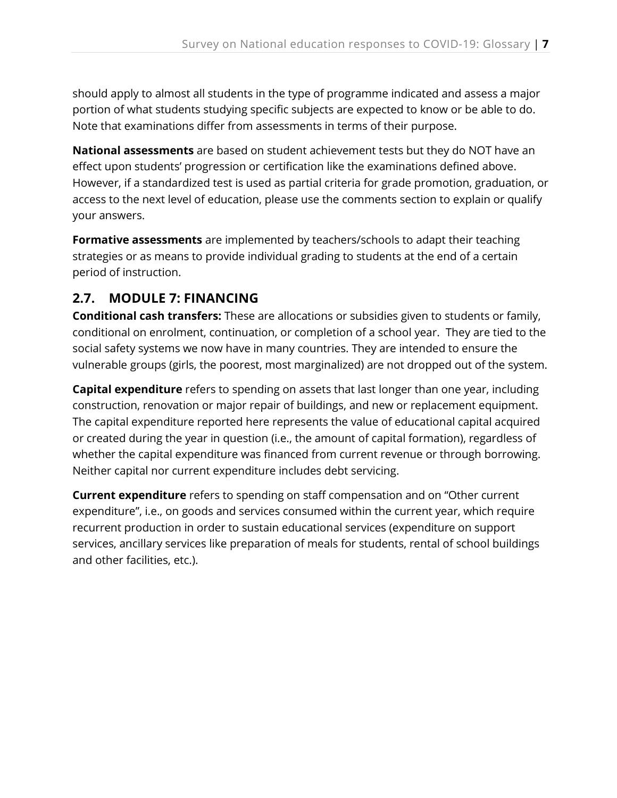should apply to almost all students in the type of programme indicated and assess a major portion of what students studying specific subjects are expected to know or be able to do. Note that examinations differ from assessments in terms of their purpose.

**National assessments** are based on student achievement tests but they do NOT have an effect upon students' progression or certification like the examinations defined above. However, if a standardized test is used as partial criteria for grade promotion, graduation, or access to the next level of education, please use the comments section to explain or qualify your answers.

**Formative assessments** are implemented by teachers/schools to adapt their teaching strategies or as means to provide individual grading to students at the end of a certain period of instruction.

## <span id="page-6-0"></span>**2.7. MODULE 7: FINANCING**

**Conditional cash transfers:** These are allocations or subsidies given to students or family, conditional on enrolment, continuation, or completion of a school year. They are tied to the social safety systems we now have in many countries. They are intended to ensure the vulnerable groups (girls, the poorest, most marginalized) are not dropped out of the system.

**Capital expenditure** refers to spending on assets that last longer than one year, including construction, renovation or major repair of buildings, and new or replacement equipment. The capital expenditure reported here represents the value of educational capital acquired or created during the year in question (i.e., the amount of capital formation), regardless of whether the capital expenditure was financed from current revenue or through borrowing. Neither capital nor current expenditure includes debt servicing.

**Current expenditure** refers to spending on staff compensation and on "Other current expenditure", i.e., on goods and services consumed within the current year, which require recurrent production in order to sustain educational services (expenditure on support services, ancillary services like preparation of meals for students, rental of school buildings and other facilities, etc.).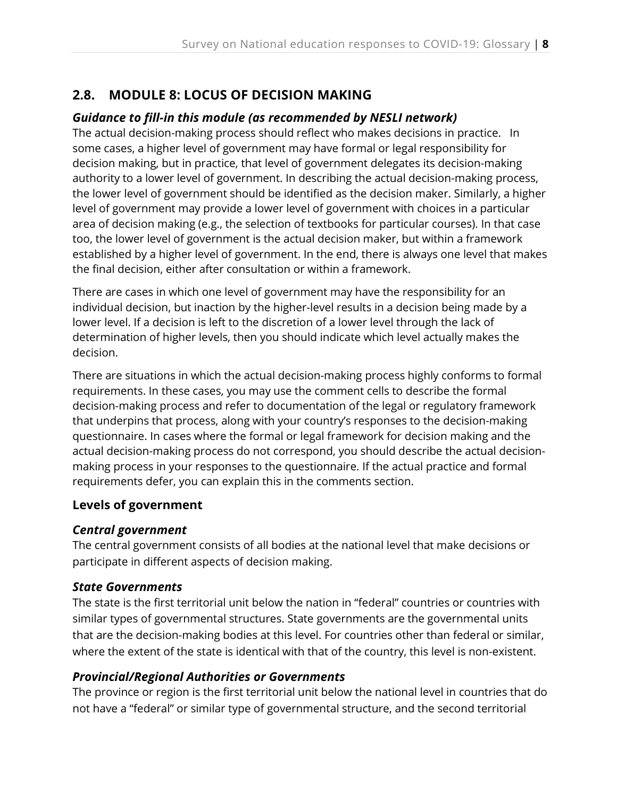## <span id="page-7-0"></span>**2.8. MODULE 8: LOCUS OF DECISION MAKING**

#### *Guidance to fill-in this module (as recommended by NESLI network)*

The actual decision-making process should reflect who makes decisions in practice. In some cases, a higher level of government may have formal or legal responsibility for decision making, but in practice, that level of government delegates its decision-making authority to a lower level of government. In describing the actual decision-making process, the lower level of government should be identified as the decision maker. Similarly, a higher level of government may provide a lower level of government with choices in a particular area of decision making (e.g., the selection of textbooks for particular courses). In that case too, the lower level of government is the actual decision maker, but within a framework established by a higher level of government. In the end, there is always one level that makes the final decision, either after consultation or within a framework.

There are cases in which one level of government may have the responsibility for an individual decision, but inaction by the higher-level results in a decision being made by a lower level. If a decision is left to the discretion of a lower level through the lack of determination of higher levels, then you should indicate which level actually makes the decision.

There are situations in which the actual decision-making process highly conforms to formal requirements. In these cases, you may use the comment cells to describe the formal decision-making process and refer to documentation of the legal or regulatory framework that underpins that process, along with your country's responses to the decision-making questionnaire. In cases where the formal or legal framework for decision making and the actual decision-making process do not correspond, you should describe the actual decisionmaking process in your responses to the questionnaire. If the actual practice and formal requirements defer, you can explain this in the comments section.

#### **Levels of government**

#### *Central government*

The central government consists of all bodies at the national level that make decisions or participate in different aspects of decision making.

#### *State Governments*

The state is the first territorial unit below the nation in "federal" countries or countries with similar types of governmental structures. State governments are the governmental units that are the decision-making bodies at this level. For countries other than federal or similar, where the extent of the state is identical with that of the country, this level is non-existent.

#### *Provincial/Regional Authorities or Governments*

The province or region is the first territorial unit below the national level in countries that do not have a "federal" or similar type of governmental structure, and the second territorial